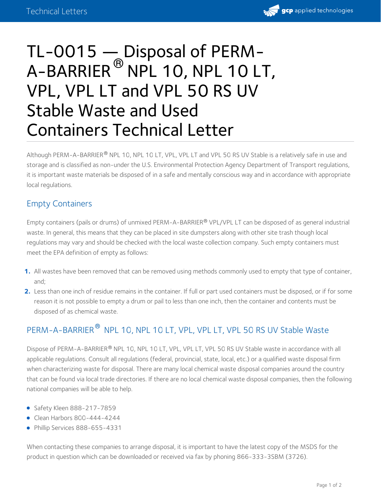

# TL-0015 — Disposal of PERM-  $\mathsf A\text{-}\mathsf B\mathsf A\mathsf R\mathsf R\mathsf I\mathsf E\mathsf R^\circledR$  NPL 10, NPL 10 LT, VPL, VPL LT and VPL 50 RS UV Stable Waste and Used Containers Technical Letter

Although PERM-A-BARRIER® NPL 10, NPL 10 LT, VPL, VPL LT and VPL 50 RS UV Stable is a relatively safe in use and storage and is classified as non-under the U.S. Environmental Protection Agency Department of Transport regulations, it is important waste materials be disposed of in a safe and mentally conscious way and in accordance with appropriate local regulations.

## Empty Containers

Empty containers (pails or drums) of unmixed PERM-A-BARRIER® VPL/VPL LT can be disposed of as general industrial waste. In general, this means that they can be placed in site dumpsters along with other site trash though local regulations may vary and should be checked with the local waste collection company. Such empty containers must meet the EPA definition of empty as follows:

- **1.** All wastes have been removed that can be removed using methods commonly used to empty that type of container, and;
- Less than one inch of residue remains in the container. If full or part used containers must be disposed, or if for some **2.** reason it is not possible to empty a drum or pail to less than one inch, then the container and contents must be disposed of as chemical waste.

# PERM-A-BARRIER  $^\text{\textregistered}$  NPL 10, NPL 10 LT, VPL, VPL LT, VPL 50 RS UV Stable Waste

Dispose of PERM-A-BARRIER® NPL 10, NPL 10 LT, VPL, VPL LT, VPL 50 RS UV Stable waste in accordance with all applicable regulations. Consult all regulations (federal, provincial, state, local, etc.) or a qualified waste disposal firm when characterizing waste for disposal. There are many local chemical waste disposal companies around the country that can be found via local trade directories. If there are no local chemical waste disposal companies, then the following national companies will be able to help.

- Safety Kleen 888-217-7859
- $\bullet$  Clean Harbors 800-444-4244
- Phillip Services 888-655-4331

When contacting these companies to arrange disposal, it is important to have the latest copy of the MSDS for the product in question which can be downloaded or received via fax by phoning 866-333-3SBM (3726).